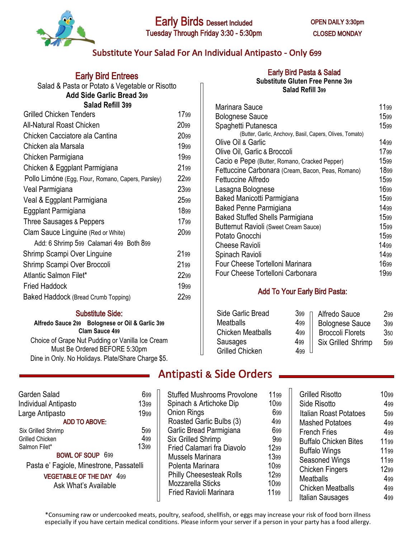

## Substitute Your Salad For An Individual Antipasto - Only 699

| <b>Early Bird Entrees</b>                          |      |  |
|----------------------------------------------------|------|--|
| Salad & Pasta or Potato & Vegetable or Risotto     |      |  |
| <b>Add Side Garlic Bread 399</b>                   |      |  |
| <b>Salad Refill 399</b>                            |      |  |
| <b>Grilled Chicken Tenders</b>                     | 1799 |  |
| All-Natural Roast Chicken                          | 2099 |  |
| Chicken Cacciatore ala Cantina                     | 2099 |  |
| Chicken ala Marsala                                | 1999 |  |
| Chicken Parmigiana                                 | 1999 |  |
| Chicken & Eggplant Parmigiana                      | 2199 |  |
| Pollo Limóne (Egg, Flour, Romano, Capers, Parsley) | 2299 |  |
| Veal Parmigiana                                    | 2399 |  |
| Veal & Eggplant Parmigiana                         | 2599 |  |
| Eggplant Parmigiana                                | 1899 |  |
| Three Sausages & Peppers                           | 1799 |  |
| Clam Sauce Linguine (Red or White)                 | 2099 |  |
| Add: 6 Shrimp 599 Calamari 499 Both 899            |      |  |
| Shrimp Scampi Over Linguine                        | 2199 |  |
| Shrimp Scampi Over Broccoli                        | 2199 |  |
| Atlantic Salmon Filet*                             | 2299 |  |
| Fried Haddock                                      | 1999 |  |
| Baked Haddock (Bread Crumb Topping)                | 2299 |  |
|                                                    |      |  |

#### **Substitute Side:**

**Alfredo Sauce 299 Bolognese or Oil & Garlic 399 Clam Sauce 499** Choice of Grape Nut Pudding or Vanilla Ice Cream Must Be Ordered BEFORE 5:30pm Dine in Only. No Holidays. Plate/Share Charge \$5.

| Garden Salad<br><b>Individual Antipasto</b><br>Large Antipasto | 699<br>1399<br>1999 |  |
|----------------------------------------------------------------|---------------------|--|
| <b>ADD TO ABOVE:</b>                                           |                     |  |
| Six Grilled Shrimp                                             | 599                 |  |
| Grilled Chicken                                                | 499                 |  |
| Salmon Filet*                                                  | 1399                |  |
| <b>BOWL OF SOUP 699</b>                                        |                     |  |
| Pasta e' Fagiole, Minestrone, Passatelli                       |                     |  |
| <b>VEGETABLE OF THE DAY 499</b>                                |                     |  |
| Ask What's Available                                           |                     |  |
|                                                                |                     |  |

## **Early Bird Pasta & Salad**

**Substitute Gluten Free Penne 399 Salad Refill 399**

| Marinara Sauce                                           | 1199 |
|----------------------------------------------------------|------|
| <b>Bolognese Sauce</b>                                   | 1599 |
| Spaghetti Putanesca                                      | 1599 |
| (Butter, Garlic, Anchovy, Basil, Capers, Olives, Tomato) |      |
| Olive Oil & Garlic                                       | 1499 |
| Olive Oil, Garlic & Broccoli                             | 1799 |
| Cacio e Pepe (Butter, Romano, Cracked Pepper)            | 1599 |
| Fettuccine Carbonara (Cream, Bacon, Peas, Romano)        | 1899 |
| <b>Fettuccine Alfredo</b>                                | 1599 |
| Lasagna Bolognese                                        | 1699 |
| Baked Manicotti Parmigiana                               | 1599 |
| Baked Penne Parmigiana                                   | 1499 |
| <b>Baked Stuffed Shells Parmigiana</b>                   | 1599 |
| Butternut Ravioli (Sweet Cream Sauce)                    | 1599 |
| Potato Gnocchi                                           | 1599 |
| <b>Cheese Ravioli</b>                                    | 1499 |
| Spinach Ravioli                                          | 1499 |
| Four Cheese Tortelloni Marinara                          | 1699 |
| Four Cheese Tortelloni Carbonara                         | 1999 |

### **Add To Your Early Bird Pasta:**

| Side Garlic Bread        | 399    | Alfredo Sauce           | 299 |
|--------------------------|--------|-------------------------|-----|
| <b>Meatballs</b>         | 499    | <b>Bolognese Sauce</b>  | 399 |
| <b>Chicken Meatballs</b> | 499    | <b>Broccoli Florets</b> | 350 |
| Sausages                 | 499    | Six Grilled Shrimp      | 599 |
| <b>Grilled Chicken</b>   | $4$ qq |                         |     |

# **Antipasti & Side Orders**

Stuffed Mushrooms Provolone 1199 Spinach & Artichoke Dip 1099 Onion Rings 699 Roasted Garlic Bulbs (3) 499 Garlic Bread Parmigiana 699 Six Grilled Shrimp 999 Fried Calamari fra Diavolo 1299<br>Mussels Marinara 1399 Mussels Marinara Polenta Marinara 1099<br>Philly Cheesesteak Rolls 1299 Philly Cheesesteak Rolls Mozzarella Sticks 1099 Fried Ravioli Marinara 1199

| <b>Grilled Risotto</b>       |      |
|------------------------------|------|
|                              | 1099 |
| Side Risotto                 | 499  |
| Italian Roast Potatoes       | 599  |
| <b>Mashed Potatoes</b>       | 499  |
| <b>French Fries</b>          | 499  |
| <b>Buffalo Chicken Bites</b> | 1199 |
| <b>Buffalo Wings</b>         | 1199 |
| Seasoned Wings               | 1199 |
| <b>Chicken Fingers</b>       | 1299 |
| <b>Meatballs</b>             | 499  |
| <b>Chicken Meatballs</b>     | 499  |
| Italian Sausages             | 499  |

\*Consuming raw or undercooked meats, poultry, seafood, shellfish, or eggs may increase your risk of food born illness especially if you have certain medical conditions. Please inform your server if a person in your party has a food allergy.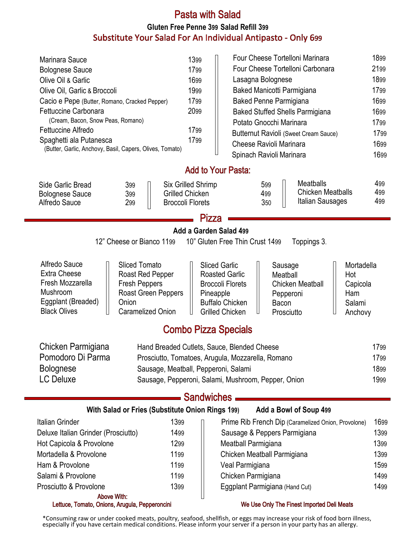# **Pasta with Salad Gluten Free Penne 399 Salad Refill 399**Substitute Your Salad For An Individual Antipasto - Only 699

| Marinara Sauce<br><b>Bolognese Sauce</b><br>Olive Oil & Garlic<br>Olive Oil, Garlic & Broccoli<br>Cacio e Pepe (Butter, Romano, Cracked Pepper)<br>Fettuccine Carbonara<br>(Cream, Bacon, Snow Peas, Romano)<br><b>Fettuccine Alfredo</b><br>Spaghetti ala Putanesca<br>(Butter, Garlic, Anchovy, Basil, Capers, Olives, Tomato) | 1399<br>1799<br>1699<br>1999<br>1799<br>2099<br>1799<br>1799            | Four Cheese Tortelloni Marinara<br>Four Cheese Tortelloni Carbonara<br>Lasagna Bolognese<br>Baked Manicotti Parmigiana<br><b>Baked Penne Parmigiana</b><br><b>Baked Stuffed Shells Parmigiana</b><br>Potato Gnocchi Marinara<br>Butternut Ravioli (Sweet Cream Sauce)<br><b>Cheese Ravioli Marinara</b><br>Spinach Ravioli Marinara | 1899<br>2199<br>1899<br>1799<br>1699<br>1699<br>1799<br>1799<br>1699<br>1699 |
|----------------------------------------------------------------------------------------------------------------------------------------------------------------------------------------------------------------------------------------------------------------------------------------------------------------------------------|-------------------------------------------------------------------------|-------------------------------------------------------------------------------------------------------------------------------------------------------------------------------------------------------------------------------------------------------------------------------------------------------------------------------------|------------------------------------------------------------------------------|
|                                                                                                                                                                                                                                                                                                                                  |                                                                         | <b>Add to Your Pasta:</b>                                                                                                                                                                                                                                                                                                           |                                                                              |
| Side Garlic Bread<br>399<br>399<br><b>Bolognese Sauce</b><br>Alfredo Sauce<br>299                                                                                                                                                                                                                                                | Six Grilled Shrimp<br><b>Grilled Chicken</b><br><b>Broccoli Florets</b> | <b>Meatballs</b><br>599<br><b>Chicken Meatballs</b><br>499<br>Italian Sausages<br>350                                                                                                                                                                                                                                               | 499<br>499<br>499                                                            |
|                                                                                                                                                                                                                                                                                                                                  |                                                                         | Pizza                                                                                                                                                                                                                                                                                                                               |                                                                              |
|                                                                                                                                                                                                                                                                                                                                  |                                                                         | Add a Garden Salad 499                                                                                                                                                                                                                                                                                                              |                                                                              |
| 12" Cheese or Bianco 1199                                                                                                                                                                                                                                                                                                        |                                                                         | 10" Gluten Free Thin Crust 1499<br>Toppings 3.                                                                                                                                                                                                                                                                                      |                                                                              |
| Alfredo Sauce<br><b>Sliced Tomato</b><br><b>Extra Cheese</b><br>Roast Red Pepper<br>Fresh Mozzarella<br><b>Fresh Peppers</b><br>Mushroom<br>Eggplant (Breaded)<br>Onion<br><b>Black Olives</b><br><b>Caramelized Onion</b>                                                                                                       | Roast Green Peppers                                                     | <b>Sliced Garlic</b><br>Sausage<br><b>Roasted Garlic</b><br>Meatball<br><b>Broccoli Florets</b><br><b>Chicken Meatball</b><br>Pineapple<br>Pepperoni<br><b>Buffalo Chicken</b><br>Bacon<br><b>Grilled Chicken</b><br>Prosciutto                                                                                                     | Mortadella<br>Hot<br>Capicola<br>Ham<br>Salami<br>Anchovy                    |
|                                                                                                                                                                                                                                                                                                                                  | <b>Combo Pizza Specials</b>                                             |                                                                                                                                                                                                                                                                                                                                     |                                                                              |
| Chicken Parmigiana<br>Pomodoro Di Parma<br><b>Bolognese</b><br><b>LC Deluxe</b>                                                                                                                                                                                                                                                  | Sausage, Meatball, Pepperoni, Salami                                    | Hand Breaded Cutlets, Sauce, Blended Cheese<br>Prosciutto, Tomatoes, Arugula, Mozzarella, Romano<br>Sausage, Pepperoni, Salami, Mushroom, Pepper, Onion                                                                                                                                                                             | 1799<br>1799<br>1899<br>1999                                                 |
|                                                                                                                                                                                                                                                                                                                                  |                                                                         | <b>Sandwiches</b>                                                                                                                                                                                                                                                                                                                   |                                                                              |
| With Salad or Fries (Substitute Onion Rings 199)                                                                                                                                                                                                                                                                                 |                                                                         | Add a Bowl of Soup 499                                                                                                                                                                                                                                                                                                              |                                                                              |
| <b>Italian Grinder</b>                                                                                                                                                                                                                                                                                                           | 1399                                                                    | Prime Rib French Dip (Caramelized Onion, Provolone)                                                                                                                                                                                                                                                                                 | 1699                                                                         |
| Deluxe Italian Grinder (Prosciutto)                                                                                                                                                                                                                                                                                              | 1499                                                                    | Sausage & Peppers Parmigiana                                                                                                                                                                                                                                                                                                        | 1399                                                                         |
| Hot Capicola & Provolone                                                                                                                                                                                                                                                                                                         | 1299                                                                    | Meatball Parmigiana                                                                                                                                                                                                                                                                                                                 | 1399                                                                         |
| Mortadella & Provolone                                                                                                                                                                                                                                                                                                           | 1199                                                                    | Chicken Meatball Parmigiana                                                                                                                                                                                                                                                                                                         | 1399                                                                         |
| Ham & Provolone                                                                                                                                                                                                                                                                                                                  | 1199                                                                    | Veal Parmigiana                                                                                                                                                                                                                                                                                                                     | 1599                                                                         |
| Salami & Provolone                                                                                                                                                                                                                                                                                                               | 1199                                                                    | Chicken Parmigiana                                                                                                                                                                                                                                                                                                                  | 1499                                                                         |
| Prosciutto & Provolone                                                                                                                                                                                                                                                                                                           | 1399                                                                    | Eggplant Parmigiana (Hand Cut)                                                                                                                                                                                                                                                                                                      | 1499                                                                         |
| <b>Above With:</b><br>Lettuce, Tomato, Onions, Arugula, Pepperoncini                                                                                                                                                                                                                                                             |                                                                         | We Use Only The Finest Imported Deli Meats                                                                                                                                                                                                                                                                                          |                                                                              |

\*Consuming raw or under cooked meats, poultry, seafood, shellfish, or eggs may increase your risk of food born illness, especially if you have certain medical conditions. Please inform your server if a person in your party has an allergy.